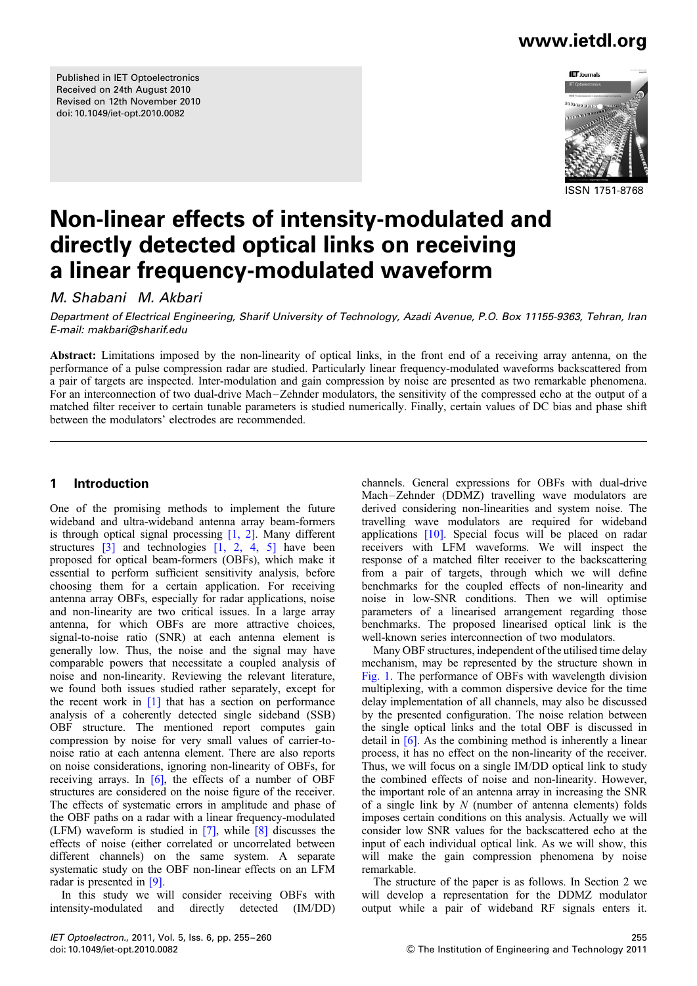Published in IET Optoelectronics Received on 24th August 2010 Revised on 12th November 2010 doi: 10.1049/iet-opt.2010.0082

### www.ietdl.org



#### ISSN 1751-8768

# Non-linear effects of intensity-modulated and directly detected optical links on receiving a linear frequency-modulated waveform

M. Shabani M. Akbari

Department of Electrical Engineering, Sharif University of Technology, Azadi Avenue, P.O. Box 11155-9363, Tehran, Iran E-mail: makbari@sharif.edu

Abstract: Limitations imposed by the non-linearity of optical links, in the front end of a receiving array antenna, on the performance of a pulse compression radar are studied. Particularly linear frequency-modulated waveforms backscattered from a pair of targets are inspected. Inter-modulation and gain compression by noise are presented as two remarkable phenomena. For an interconnection of two dual-drive Mach –Zehnder modulators, the sensitivity of the compressed echo at the output of a matched filter receiver to certain tunable parameters is studied numerically. Finally, certain values of DC bias and phase shift between the modulators' electrodes are recommended.

#### 1 Introduction

One of the promising methods to implement the future wideband and ultra-wideband antenna array beam-formers is through optical signal processing [1, 2]. Many different structures  $\begin{bmatrix} 3 \end{bmatrix}$  and technologies  $\begin{bmatrix} 1, 2, 4, 5 \end{bmatrix}$  have been proposed for optical beam-formers (OBFs), which make it essential to perform sufficient sensitivity analysis, before choosing them for a certain application. For receiving antenna array OBFs, especially for radar applications, noise and non-linearity are two critical issues. In a large array antenna, for which OBFs are more attractive choices, signal-to-noise ratio (SNR) at each antenna element is generally low. Thus, the noise and the signal may have comparable powers that necessitate a coupled analysis of noise and non-linearity. Reviewing the relevant literature, we found both issues studied rather separately, except for the recent work in  $[1]$  that has a section on performance analysis of a coherently detected single sideband (SSB) OBF structure. The mentioned report computes gain compression by noise for very small values of carrier-tonoise ratio at each antenna element. There are also reports on noise considerations, ignoring non-linearity of OBFs, for receiving arrays. In [6], the effects of a number of OBF structures are considered on the noise figure of the receiver. The effects of systematic errors in amplitude and phase of the OBF paths on a radar with a linear frequency-modulated (LFM) waveform is studied in [7], while [8] discusses the effects of noise (either correlated or uncorrelated between different channels) on the same system. A separate systematic study on the OBF non-linear effects on an LFM radar is presented in [9].

In this study we will consider receiving OBFs with intensity-modulated and directly detected (IM/DD)

channels. General expressions for OBFs with dual-drive Mach–Zehnder (DDMZ) travelling wave modulators are derived considering non-linearities and system noise. The travelling wave modulators are required for wideband applications [10]. Special focus will be placed on radar receivers with LFM waveforms. We will inspect the response of a matched filter receiver to the backscattering from a pair of targets, through which we will define benchmarks for the coupled effects of non-linearity and noise in low-SNR conditions. Then we will optimise parameters of a linearised arrangement regarding those benchmarks. The proposed linearised optical link is the well-known series interconnection of two modulators.

Many OBF structures, independent of the utilised time delay mechanism, may be represented by the structure shown in Fig. 1. The performance of OBFs with wavelength division multiplexing, with a common dispersive device for the time delay implementation of all channels, may also be discussed by the presented configuration. The noise relation between the single optical links and the total OBF is discussed in detail in  $[6]$ . As the combining method is inherently a linear process, it has no effect on the non-linearity of the receiver. Thus, we will focus on a single IM/DD optical link to study the combined effects of noise and non-linearity. However, the important role of an antenna array in increasing the SNR of a single link by  $N$  (number of antenna elements) folds imposes certain conditions on this analysis. Actually we will consider low SNR values for the backscattered echo at the input of each individual optical link. As we will show, this will make the gain compression phenomena by noise remarkable.

The structure of the paper is as follows. In Section 2 we will develop a representation for the DDMZ modulator output while a pair of wideband RF signals enters it.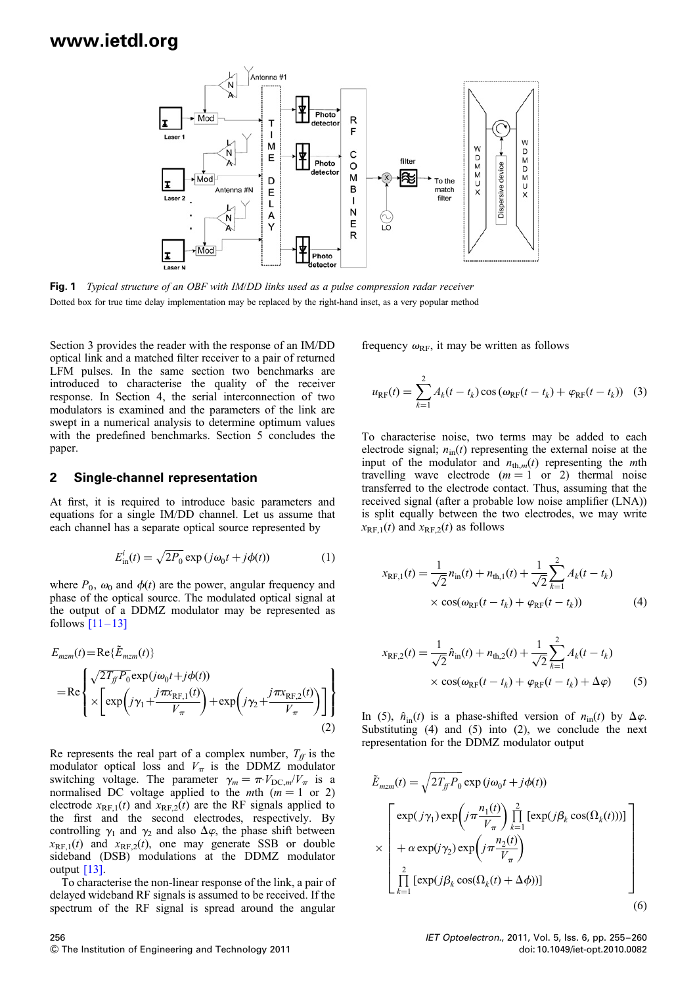

Fig. 1 Typical structure of an OBF with IM/DD links used as a pulse compression radar receiver Dotted box for true time delay implementation may be replaced by the right-hand inset, as a very popular method

Section 3 provides the reader with the response of an IM/DD optical link and a matched filter receiver to a pair of returned LFM pulses. In the same section two benchmarks are introduced to characterise the quality of the receiver response. In Section 4, the serial interconnection of two modulators is examined and the parameters of the link are swept in a numerical analysis to determine optimum values with the predefined benchmarks. Section 5 concludes the paper.

#### 2 Single-channel representation

At first, it is required to introduce basic parameters and equations for a single IM/DD channel. Let us assume that each channel has a separate optical source represented by

$$
E_{\text{in}}^{i}(t) = \sqrt{2P_0} \exp(j\omega_0 t + j\phi(t))
$$
 (1)

where  $P_0$ ,  $\omega_0$  and  $\phi(t)$  are the power, angular frequency and phase of the optical source. The modulated optical signal at the output of a DDMZ modulator may be represented as follows  $[11-13]$ 

$$
E_{mzm}(t) = \text{Re}\{\tilde{E}_{mzm}(t)\}\
$$
  
= Re
$$
\left\{\times \left[\exp\left(j\gamma_1 + \frac{j\pi x_{\text{RF},1}(t)}{V_{\pi}}\right) + \exp\left(j\gamma_2 + \frac{j\pi x_{\text{RF},2}(t)}{V_{\pi}}\right)\right]\right\}
$$
  
(2)

Re represents the real part of a complex number,  $T_f$  is the modulator optical loss and  $V_{\pi}$  is the DDMZ modulator switching voltage. The parameter  $\gamma_m = \pi V_{DC,m}/V_\pi$  is a normalised DC voltage applied to the *mth* ( $m = 1$  or 2) electrode  $x_{RF,1}(t)$  and  $x_{RF,2}(t)$  are the RF signals applied to the first and the second electrodes, respectively. By controlling  $\gamma_1$  and  $\gamma_2$  and also  $\Delta\varphi$ , the phase shift between  $x_{RF,1}(t)$  and  $x_{RF,2}(t)$ , one may generate SSB or double sideband (DSB) modulations at the DDMZ modulator output [13].

To characterise the non-linear response of the link, a pair of delayed wideband RF signals is assumed to be received. If the spectrum of the RF signal is spread around the angular

frequency  $\omega_{\text{RF}}$ , it may be written as follows

$$
u_{RF}(t) = \sum_{k=1}^{2} A_k(t - t_k) \cos(\omega_{RF}(t - t_k) + \varphi_{RF}(t - t_k))
$$
 (3)

To characterise noise, two terms may be added to each electrode signal;  $n_{\text{in}}(t)$  representing the external noise at the input of the modulator and  $n_{\text{th},m}(t)$  representing the mth travelling wave electrode  $(m = 1 \text{ or } 2)$  thermal noise transferred to the electrode contact. Thus, assuming that the received signal (after a probable low noise amplifier (LNA)) is split equally between the two electrodes, we may write  $x_{RF,1}(t)$  and  $x_{RF,2}(t)$  as follows

$$
x_{RF,1}(t) = \frac{1}{\sqrt{2}} n_{in}(t) + n_{th,1}(t) + \frac{1}{\sqrt{2}} \sum_{k=1}^{2} A_k(t - t_k)
$$
  
 
$$
\times \cos(\omega_{RF}(t - t_k) + \varphi_{RF}(t - t_k))
$$
 (4)

$$
x_{\text{RF},2}(t) = \frac{1}{\sqrt{2}} \hat{n}_{\text{in}}(t) + n_{\text{th},2}(t) + \frac{1}{\sqrt{2}} \sum_{k=1}^{2} A_k(t - t_k)
$$
  
 
$$
\times \cos(\omega_{\text{RF}}(t - t_k) + \varphi_{\text{RF}}(t - t_k) + \Delta \varphi)
$$
(5)

In (5),  $\hat{n}_{in}(t)$  is a phase-shifted version of  $n_{in}(t)$  by  $\Delta \varphi$ . Substituting  $(4)$  and  $(5)$  into  $(2)$ , we conclude the next representation for the DDMZ modulator output

$$
\tilde{E}_{mzm}(t) = \sqrt{2T_{ff}P_0} \exp(j\omega_0 t + j\phi(t))
$$
\n
$$
\times \begin{bmatrix}\n\exp(j\gamma_1) \exp\left(j\pi \frac{n_1(t)}{V_{\pi}}\right) \prod_{k=1}^2 \left[\exp(j\beta_k \cos(\Omega_k(t)))\right] \\
+\alpha \exp(j\gamma_2) \exp\left(j\pi \frac{n_2(t)}{V_{\pi}}\right) \\
\prod_{k=1}^2 \left[\exp(j\beta_k \cos(\Omega_k(t) + \Delta\phi))\right]\n\end{bmatrix}
$$
\n(6)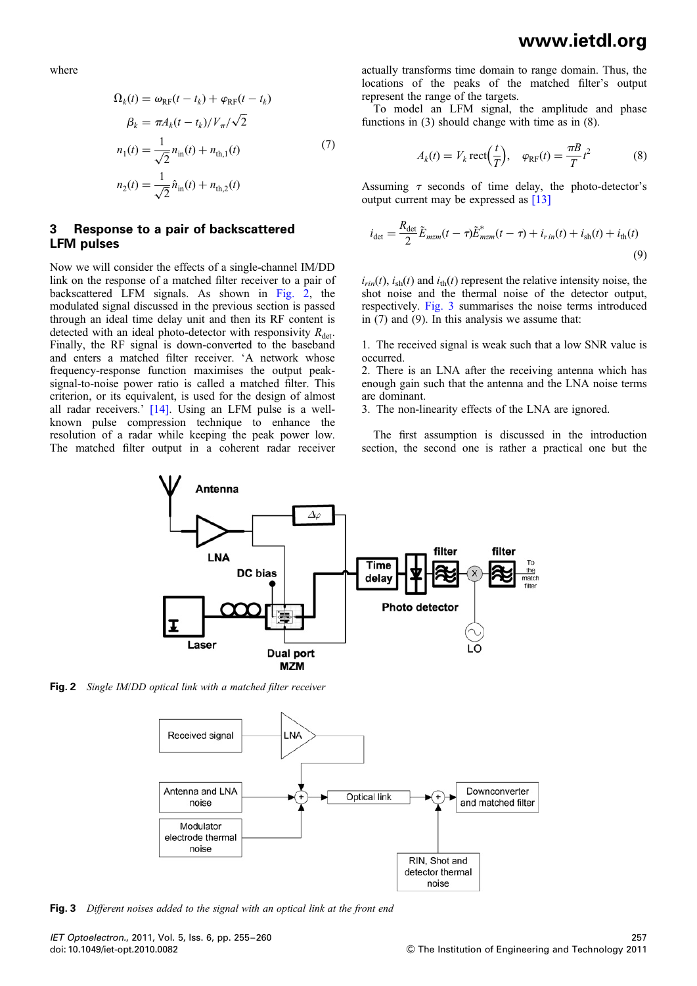where

$$
\Omega_{k}(t) = \omega_{RF}(t - t_{k}) + \varphi_{RF}(t - t_{k})
$$
\n
$$
\beta_{k} = \pi A_{k}(t - t_{k})/V_{\pi}/\sqrt{2}
$$
\n
$$
n_{1}(t) = \frac{1}{\sqrt{2}} n_{in}(t) + n_{th,1}(t)
$$
\n
$$
n_{2}(t) = \frac{1}{\sqrt{2}} \hat{n}_{in}(t) + n_{th,2}(t)
$$
\n(7)

#### 3 Response to a pair of backscattered LFM pulses

Now we will consider the effects of a single-channel IM/DD link on the response of a matched filter receiver to a pair of backscattered LFM signals. As shown in Fig. 2, the modulated signal discussed in the previous section is passed through an ideal time delay unit and then its RF content is detected with an ideal photo-detector with responsivity  $R_{\text{det}}$ . Finally, the RF signal is down-converted to the baseband and enters a matched filter receiver. 'A network whose frequency-response function maximises the output peaksignal-to-noise power ratio is called a matched filter. This criterion, or its equivalent, is used for the design of almost all radar receivers.' [14]. Using an LFM pulse is a wellknown pulse compression technique to enhance the resolution of a radar while keeping the peak power low. The matched filter output in a coherent radar receiver

actually transforms time domain to range domain. Thus, the locations of the peaks of the matched filter's output represent the range of the targets.

To model an LFM signal, the amplitude and phase functions in (3) should change with time as in (8).

$$
A_k(t) = V_k \operatorname{rect}\left(\frac{t}{T}\right), \quad \varphi_{RF}(t) = \frac{\pi B}{T} t^2 \tag{8}
$$

Assuming  $\tau$  seconds of time delay, the photo-detector's output current may be expressed as [13]

$$
i_{\det} = \frac{R_{\det}}{2} \tilde{E}_{mzm}(t-\tau) \tilde{E}_{mzm}^*(t-\tau) + i_{r\,in}(t) + i_{\text{sh}}(t) + i_{\text{th}}(t)
$$
\n(9)

 $i_{\text{rin}}(t)$ ,  $i_{\text{sh}}(t)$  and  $i_{\text{th}}(t)$  represent the relative intensity noise, the shot noise and the thermal noise of the detector output, respectively. Fig. 3 summarises the noise terms introduced in (7) and (9). In this analysis we assume that:

1. The received signal is weak such that a low SNR value is occurred.

2. There is an LNA after the receiving antenna which has enough gain such that the antenna and the LNA noise terms are dominant.

3. The non-linearity effects of the LNA are ignored.

The first assumption is discussed in the introduction section, the second one is rather a practical one but the



Fig. 2 Single IM/DD optical link with a matched filter receiver



**Fig. 3** Different noises added to the signal with an optical link at the front end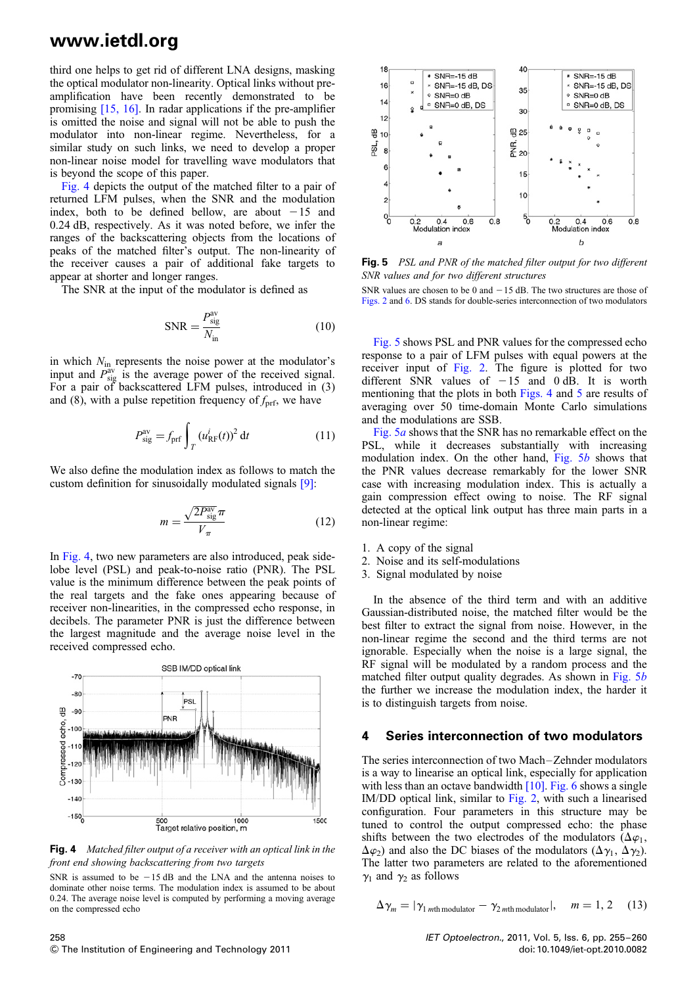third one helps to get rid of different LNA designs, masking the optical modulator non-linearity. Optical links without preamplification have been recently demonstrated to be promising [15, 16]. In radar applications if the pre-amplifier is omitted the noise and signal will not be able to push the modulator into non-linear regime. Nevertheless, for a similar study on such links, we need to develop a proper non-linear noise model for travelling wave modulators that is beyond the scope of this paper.

Fig. 4 depicts the output of the matched filter to a pair of returned LFM pulses, when the SNR and the modulation index, both to be defined bellow, are about  $-15$  and 0.24 dB, respectively. As it was noted before, we infer the ranges of the backscattering objects from the locations of peaks of the matched filter's output. The non-linearity of the receiver causes a pair of additional fake targets to appear at shorter and longer ranges.

The SNR at the input of the modulator is defined as

$$
SNR = \frac{P_{\text{sig}}^{\text{av}}}{N_{\text{in}}} \tag{10}
$$

in which  $N_{\text{in}}$  represents the noise power at the modulator's input and  $\vec{P}_{sig}^{av}$  is the average power of the received signal. For a pair of backscattered LFM pulses, introduced in (3) and (8), with a pulse repetition frequency of  $f_{\text{prf}}$ , we have

$$
P_{\text{sig}}^{\text{av}} = f_{\text{prf}} \int_{T} \left( u_{\text{RF}}^{i}(t) \right)^{2} \mathrm{d}t \tag{11}
$$

We also define the modulation index as follows to match the custom definition for sinusoidally modulated signals [9]:

$$
m = \frac{\sqrt{2P_{\text{sig}}^{\text{av}}\pi}}{V_{\pi}}\tag{12}
$$

In Fig. 4, two new parameters are also introduced, peak sidelobe level (PSL) and peak-to-noise ratio (PNR). The PSL value is the minimum difference between the peak points of the real targets and the fake ones appearing because of receiver non-linearities, in the compressed echo response, in decibels. The parameter PNR is just the difference between the largest magnitude and the average noise level in the received compressed echo.



Fig. 4 Matched filter output of a receiver with an optical link in the front end showing backscattering from two targets

SNR is assumed to be  $-15$  dB and the LNA and the antenna noises to dominate other noise terms. The modulation index is assumed to be about 0.24. The average noise level is computed by performing a moving average on the compressed echo



Fig. 5 PSL and PNR of the matched filter output for two different SNR values and for two different structures

SNR values are chosen to be 0 and  $-15$  dB. The two structures are those of Figs. 2 and 6. DS stands for double-series interconnection of two modulators

Fig. 5 shows PSL and PNR values for the compressed echo response to a pair of LFM pulses with equal powers at the receiver input of Fig. 2. The figure is plotted for two different SNR values of  $-15$  and 0 dB. It is worth mentioning that the plots in both Figs. 4 and 5 are results of averaging over 50 time-domain Monte Carlo simulations and the modulations are SSB.

Fig. 5a shows that the SNR has no remarkable effect on the PSL, while it decreases substantially with increasing modulation index. On the other hand, Fig. 5b shows that the PNR values decrease remarkably for the lower SNR case with increasing modulation index. This is actually a gain compression effect owing to noise. The RF signal detected at the optical link output has three main parts in a non-linear regime:

- 1. A copy of the signal
- 2. Noise and its self-modulations
- 3. Signal modulated by noise

In the absence of the third term and with an additive Gaussian-distributed noise, the matched filter would be the best filter to extract the signal from noise. However, in the non-linear regime the second and the third terms are not ignorable. Especially when the noise is a large signal, the RF signal will be modulated by a random process and the matched filter output quality degrades. As shown in Fig. 5b the further we increase the modulation index, the harder it is to distinguish targets from noise.

#### 4 Series interconnection of two modulators

The series interconnection of two Mach–Zehnder modulators is a way to linearise an optical link, especially for application with less than an octave bandwidth  $[10]$ . Fig. 6 shows a single IM/DD optical link, similar to Fig. 2, with such a linearised configuration. Four parameters in this structure may be tuned to control the output compressed echo: the phase shifts between the two electrodes of the modulators ( $\Delta \varphi_1$ ,  $(\Delta \varphi_2)$  and also the DC biases of the modulators  $(\Delta \gamma_1, \Delta \gamma_2)$ . The latter two parameters are related to the aforementioned  $\gamma_1$  and  $\gamma_2$  as follows

$$
\Delta \gamma_m = |\gamma_1|_{m\text{th modulator}} - \gamma_2|_{m\text{th modulator}}|, \quad m = 1, 2 \quad (13)
$$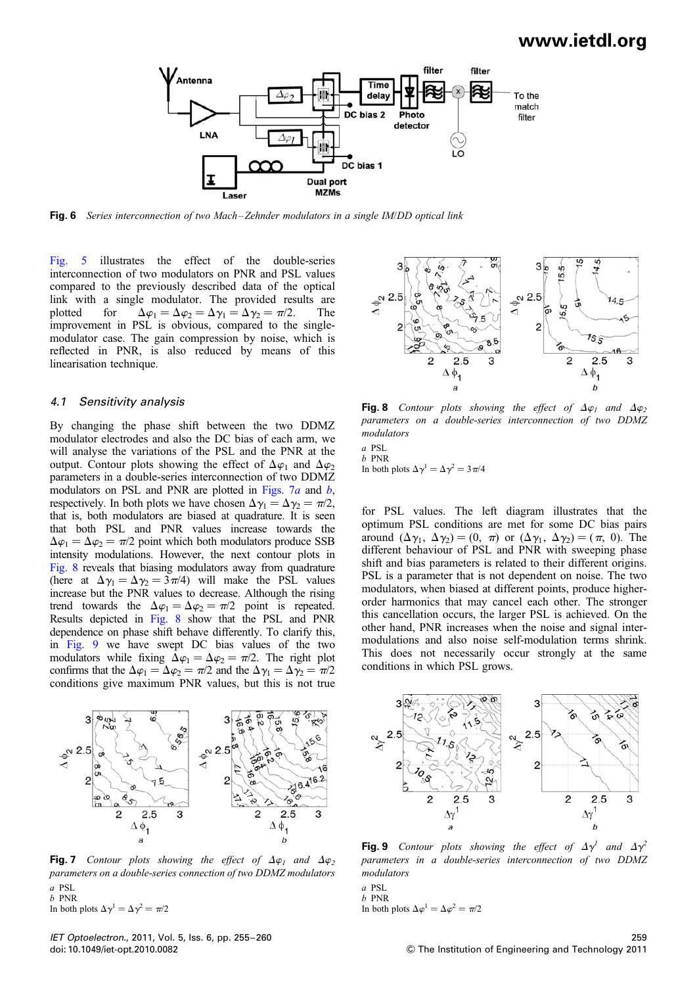

Fig. 6 Series interconnection of two Mach-Zehnder modulators in a single IM/DD optical link

Fig. 5 illustrates the effect of the double-series interconnection of two modulators on PNR and PSL values compared to the previously described data of the optical link with a single modulator. The provided results are plotted for  $\Delta \varphi_1 = \Delta \varphi_2 = \Delta \gamma_1 = \Delta \gamma_2 = \pi/2$ . The improvement in PSL is obvious, compared to the singlemodulator case. The gain compression by noise, which is reflected in PNR, is also reduced by means of this linearisation technique.

#### 4.1 Sensitivity analysis

By changing the phase shift between the two DDMZ modulator electrodes and also the DC bias of each arm, we will analyse the variations of the PSL and the PNR at the output. Contour plots showing the effect of  $\Delta\varphi_1$  and  $\Delta\varphi_2$ parameters in a double-series interconnection of two DDMZ modulators on PSL and PNR are plotted in Figs.  $7a$  and  $b$ , respectively. In both plots we have chosen  $\Delta \gamma_1 = \Delta \gamma_2 = \pi/2$ , that is, both modulators are biased at quadrature. It is seen that both PSL and PNR values increase towards the  $\Delta \varphi_1 = \Delta \varphi_2 = \pi/2$  point which both modulators produce SSB intensity modulations. However, the next contour plots in Fig. 8 reveals that biasing modulators away from quadrature (here at  $\Delta \gamma_1 = \Delta \gamma_2 = 3\pi/4$ ) will make the PSL values increase but the PNR values to decrease. Although the rising trend towards the  $\Delta \varphi_1 = \Delta \varphi_2 = \pi/2$  point is repeated. Results depicted in Fig. 8 show that the PSL and PNR dependence on phase shift behave differently. To clarify this, in Fig. 9 we have swept DC bias values of the two modulators while fixing  $\Delta \varphi_1 = \Delta \varphi_2 = \pi/2$ . The right plot confirms that the  $\Delta \varphi_1 = \Delta \varphi_2 = \pi/2$  and the  $\Delta \gamma_1 = \Delta \gamma_2 = \pi/2$ conditions give maximum PNR values, but this is not true



Fig. 7 Contour plots showing the effect of  $\Delta\varphi_1$  and  $\Delta\varphi_2$ parameters on a double-series connection of two DDMZ modulators a PSL b PNR

In both plots  $\Delta \gamma^1 = \Delta \gamma^2 = \pi/2$ 



**Fig. 8** Contour plots showing the effect of  $\Delta\varphi_1$  and  $\Delta\varphi_2$ parameters on a double-series interconnection of two DDMZ modulators

a PSL b PNR In both plots  $\Delta \gamma^1 = \Delta \gamma^2 = 3\pi/4$ 

for PSL values. The left diagram illustrates that the optimum PSL conditions are met for some DC bias pairs around  $(\Delta \gamma_1, \Delta \gamma_2) = (0, \pi)$  or  $(\Delta \gamma_1, \Delta \gamma_2) = (\pi, 0)$ . The different behaviour of PSL and PNR with sweeping phase shift and bias parameters is related to their different origins. PSL is a parameter that is not dependent on noise. The two modulators, when biased at different points, produce higherorder harmonics that may cancel each other. The stronger this cancellation occurs, the larger PSL is achieved. On the other hand, PNR increases when the noise and signal intermodulations and also noise self-modulation terms shrink. This does not necessarily occur strongly at the same conditions in which PSL grows.



**Fig. 9** Contour plots showing the effect of  $\Delta \gamma^1$  and  $\Delta \gamma^2$ parameters in a double-series interconnection of two DDMZ modulators

a PSL b PNR In both plots  $\Delta \varphi^1 = \Delta \varphi^2 = \pi/2$